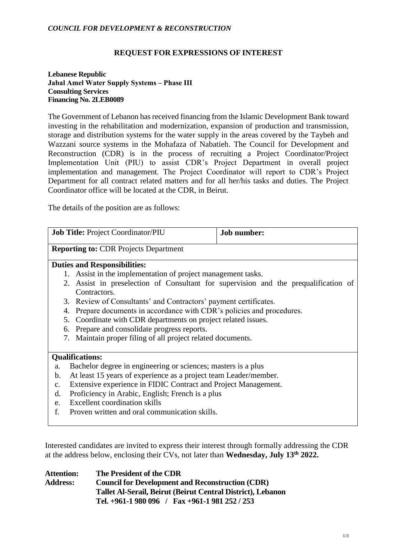#### *COUNCIL FOR DEVELOPMENT & RECONSTRUCTION*

#### **REQUEST FOR EXPRESSIONS OF INTEREST**

#### **Lebanese Republic Jabal Amel Water Supply Systems – Phase III Consulting Services Financing No. 2LEB0089**

The Government of Lebanon has received financing from the Islamic Development Bank toward investing in the rehabilitation and modernization, expansion of production and transmission, storage and distribution systems for the water supply in the areas covered by the Taybeh and Wazzani source systems in the Mohafaza of Nabatieh. The Council for Development and Reconstruction (CDR) is in the process of recruiting a Project Coordinator/Project Implementation Unit (PIU) to assist CDR's Project Department in overall project implementation and management. The Project Coordinator will report to CDR's Project Department for all contract related matters and for all her/his tasks and duties. The Project Coordinator office will be located at the CDR, in Beirut.

The details of the position are as follows:

| <b>Job Title: Project Coordinator/PIU</b>                                           | <b>Job number:</b> |
|-------------------------------------------------------------------------------------|--------------------|
| <b>Reporting to: CDR Projects Department</b>                                        |                    |
| <b>Duties and Responsibilities:</b>                                                 |                    |
| 1. Assist in the implementation of project management tasks.                        |                    |
| 2. Assist in preselection of Consultant for supervision and the prequalification of |                    |
| Contractors.                                                                        |                    |
| 3. Review of Consultants' and Contractors' payment certificates.                    |                    |
| Prepare documents in accordance with CDR's policies and procedures.<br>4.           |                    |
| Coordinate with CDR departments on project related issues.<br>5.                    |                    |
| Prepare and consolidate progress reports.<br>6.                                     |                    |
| Maintain proper filing of all project related documents.<br>7.                      |                    |
|                                                                                     |                    |
| <b>Qualifications:</b>                                                              |                    |
| Bachelor degree in engineering or sciences; masters is a plus<br>a.                 |                    |
| At least 15 years of experience as a project team Leader/member.<br>b.              |                    |
| Extensive experience in FIDIC Contract and Project Management.<br>$\mathbf{C}$ .    |                    |
| Proficiency in Arabic, English; French is a plus<br>d.                              |                    |
| <b>Excellent coordination skills</b><br>e.                                          |                    |
| f.<br>Proven written and oral communication skills.                                 |                    |

Interested candidates are invited to express their interest through formally addressing the CDR at the address below, enclosing their CVs, not later than **Wednesday, July 13th 2022.**

| <b>Attention:</b> | The President of the CDR                                    |  |
|-------------------|-------------------------------------------------------------|--|
| <b>Address:</b>   | <b>Council for Development and Reconstruction (CDR)</b>     |  |
|                   | Tallet Al-Serail, Beirut (Beirut Central District), Lebanon |  |
|                   | Tel. $+961-1980096$ / Fax $+961-1981252/253$                |  |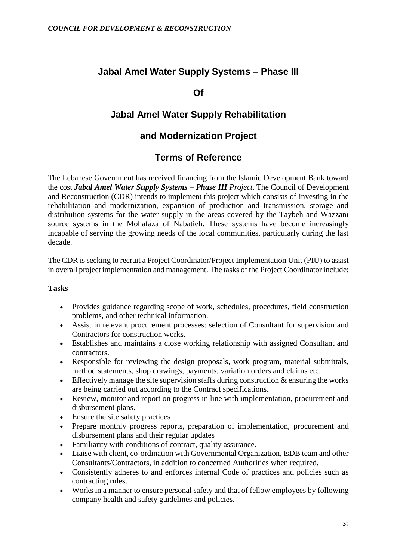# **Jabal Amel Water Supply Systems – Phase III**

### **Of**

# **Jabal Amel Water Supply Rehabilitation**

### **and Modernization Project**

# **Terms of Reference**

The Lebanese Government has received financing from the Islamic Development Bank toward the cost *Jabal Amel Water Supply Systems – Phase III Project*. The Council of Development and Reconstruction (CDR) intends to implement this project which consists of investing in the rehabilitation and modernization, expansion of production and transmission, storage and distribution systems for the water supply in the areas covered by the Taybeh and Wazzani source systems in the Mohafaza of Nabatieh. These systems have become increasingly incapable of serving the growing needs of the local communities, particularly during the last decade.

The CDR is seeking to recruit a Project Coordinator/Project Implementation Unit (PIU) to assist in overall project implementation and management. The tasks of the Project Coordinator include:

### **Tasks**

- Provides guidance regarding scope of work, schedules, procedures, field construction problems, and other technical information.
- Assist in relevant procurement processes: selection of Consultant for supervision and Contractors for construction works.
- Establishes and maintains a close working relationship with assigned Consultant and contractors.
- Responsible for reviewing the design proposals, work program, material submittals, method statements, shop drawings, payments, variation orders and claims etc.
- Effectively manage the site supervision staffs during construction  $\&$  ensuring the works are being carried out according to the Contract specifications.
- Review, monitor and report on progress in line with implementation, procurement and disbursement plans.
- Ensure the site safety practices
- Prepare monthly progress reports, preparation of implementation, procurement and disbursement plans and their regular updates
- Familiarity with conditions of contract, quality assurance.
- Liaise with client, co-ordination with Governmental Organization, IsDB team and other Consultants/Contractors, in addition to concerned Authorities when required.
- Consistently adheres to and enforces internal Code of practices and policies such as contracting rules.
- Works in a manner to ensure personal safety and that of fellow employees by following company health and safety guidelines and policies.